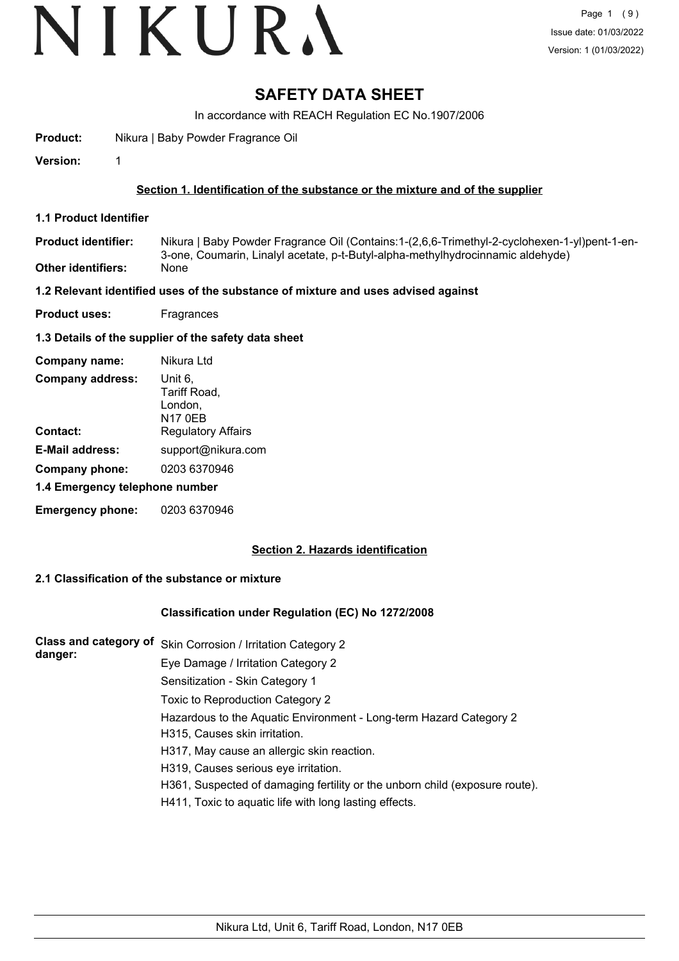# VIKURA

# **SAFETY DATA SHEET**

In accordance with REACH Regulation EC No.1907/2006

**Product:** Nikura | Baby Powder Fragrance Oil

**Version:** 1

# **Section 1. Identification of the substance or the mixture and of the supplier**

**1.1 Product Identifier**

Nikura | Baby Powder Fragrance Oil (Contains:1-(2,6,6-Trimethyl-2-cyclohexen-1-yl)pent-1-en-3-one, Coumarin, Linalyl acetate, p-t-Butyl-alpha-methylhydrocinnamic aldehyde) **Product identifier: Other identifiers:** None

## **1.2 Relevant identified uses of the substance of mixture and uses advised against**

**Product uses:** Fragrances

# **1.3 Details of the supplier of the safety data sheet**

| Company name:                  | Nikura Ltd                                           |  |
|--------------------------------|------------------------------------------------------|--|
| <b>Company address:</b>        | Unit 6,<br>Tariff Road,<br>London.<br><b>N17 0EB</b> |  |
| Contact:                       | <b>Regulatory Affairs</b>                            |  |
| <b>E-Mail address:</b>         | support@nikura.com                                   |  |
| Company phone:                 | 0203 6370946                                         |  |
| 1.4 Emergency telephone number |                                                      |  |
| <b>Emergency phone:</b>        | 0203 6370946                                         |  |

# **Section 2. Hazards identification**

# **2.1 Classification of the substance or mixture**

## **Classification under Regulation (EC) No 1272/2008**

| <b>Class and category of</b> | Skin Corrosion / Irritation Category 2                                      |
|------------------------------|-----------------------------------------------------------------------------|
| danger:                      | Eye Damage / Irritation Category 2                                          |
|                              | Sensitization - Skin Category 1                                             |
|                              | Toxic to Reproduction Category 2                                            |
|                              | Hazardous to the Aquatic Environment - Long-term Hazard Category 2          |
|                              | H315, Causes skin irritation.                                               |
|                              | H317, May cause an allergic skin reaction.                                  |
|                              | H319, Causes serious eye irritation.                                        |
|                              | H361, Suspected of damaging fertility or the unborn child (exposure route). |
|                              | H411, Toxic to aquatic life with long lasting effects.                      |
|                              |                                                                             |
|                              |                                                                             |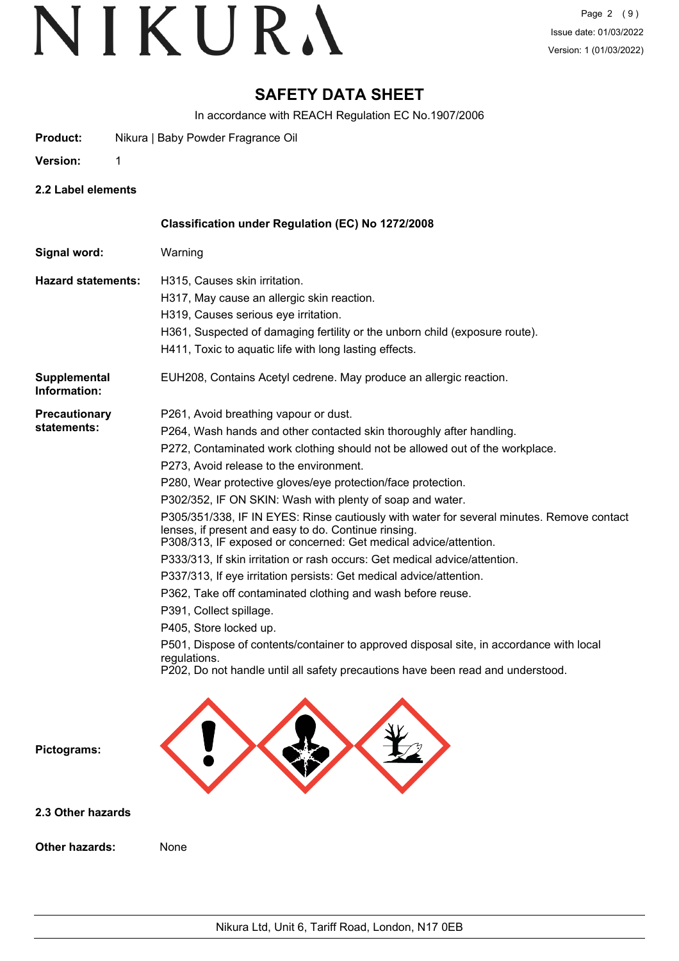# **SAFETY DATA SHEET**

In accordance with REACH Regulation EC No.1907/2006

**Product:** Nikura | Baby Powder Fragrance Oil

**Version:** 1

**2.2 Label elements**

|                                     | Classification under Regulation (EC) No 1272/2008                                                                                                                                                                                                                                                                                                                                                                                                                                                                                                                                                                                                                                                                                                                                                                                                                                                                                                                                                                                                                     |
|-------------------------------------|-----------------------------------------------------------------------------------------------------------------------------------------------------------------------------------------------------------------------------------------------------------------------------------------------------------------------------------------------------------------------------------------------------------------------------------------------------------------------------------------------------------------------------------------------------------------------------------------------------------------------------------------------------------------------------------------------------------------------------------------------------------------------------------------------------------------------------------------------------------------------------------------------------------------------------------------------------------------------------------------------------------------------------------------------------------------------|
| Signal word:                        | Warning                                                                                                                                                                                                                                                                                                                                                                                                                                                                                                                                                                                                                                                                                                                                                                                                                                                                                                                                                                                                                                                               |
| <b>Hazard statements:</b>           | H315, Causes skin irritation.<br>H317, May cause an allergic skin reaction.<br>H319, Causes serious eye irritation.<br>H361, Suspected of damaging fertility or the unborn child (exposure route).<br>H411, Toxic to aquatic life with long lasting effects.                                                                                                                                                                                                                                                                                                                                                                                                                                                                                                                                                                                                                                                                                                                                                                                                          |
| Supplemental<br>Information:        | EUH208, Contains Acetyl cedrene. May produce an allergic reaction.                                                                                                                                                                                                                                                                                                                                                                                                                                                                                                                                                                                                                                                                                                                                                                                                                                                                                                                                                                                                    |
| <b>Precautionary</b><br>statements: | P261, Avoid breathing vapour or dust.<br>P264, Wash hands and other contacted skin thoroughly after handling.<br>P272, Contaminated work clothing should not be allowed out of the workplace.<br>P273, Avoid release to the environment.<br>P280, Wear protective gloves/eye protection/face protection.<br>P302/352, IF ON SKIN: Wash with plenty of soap and water.<br>P305/351/338, IF IN EYES: Rinse cautiously with water for several minutes. Remove contact<br>lenses, if present and easy to do. Continue rinsing.<br>P308/313, IF exposed or concerned: Get medical advice/attention.<br>P333/313, If skin irritation or rash occurs: Get medical advice/attention.<br>P337/313, If eye irritation persists: Get medical advice/attention.<br>P362, Take off contaminated clothing and wash before reuse.<br>P391, Collect spillage.<br>P405, Store locked up.<br>P501, Dispose of contents/container to approved disposal site, in accordance with local<br>regulations.<br>P202, Do not handle until all safety precautions have been read and understood. |
| Pictograms:                         |                                                                                                                                                                                                                                                                                                                                                                                                                                                                                                                                                                                                                                                                                                                                                                                                                                                                                                                                                                                                                                                                       |
| 2.3 Other hazards                   |                                                                                                                                                                                                                                                                                                                                                                                                                                                                                                                                                                                                                                                                                                                                                                                                                                                                                                                                                                                                                                                                       |

**Other hazards:** None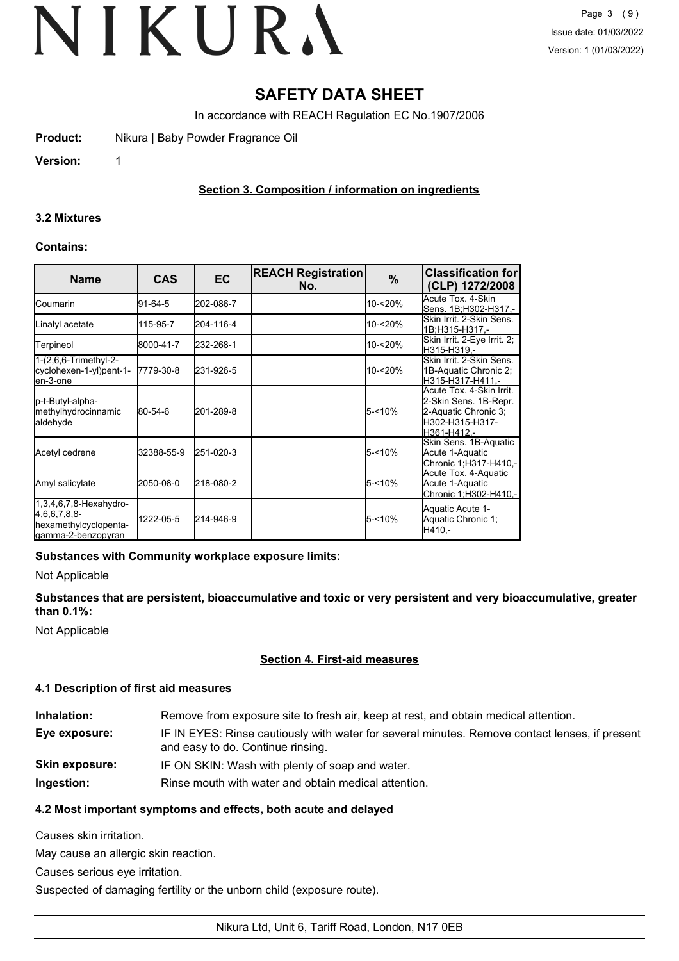# **SAFETY DATA SHEET**

In accordance with REACH Regulation EC No.1907/2006

**Product:** Nikura | Baby Powder Fragrance Oil

**Version:** 1

# **Section 3. Composition / information on ingredients**

#### **3.2 Mixtures**

#### **Contains:**

| <b>Name</b>                                                                               | <b>CAS</b> | <b>EC</b> | <b>REACH Registration</b><br>No. | $\%$      | <b>Classification for</b><br>(CLP) 1272/2008                                                                 |
|-------------------------------------------------------------------------------------------|------------|-----------|----------------------------------|-----------|--------------------------------------------------------------------------------------------------------------|
| lCoumarin                                                                                 | 91-64-5    | 202-086-7 |                                  | 10-<20%   | Acute Tox. 4-Skin<br> Sens. 1B:H302-H317.-                                                                   |
| Linalyl acetate                                                                           | 115-95-7   | 204-116-4 |                                  | 10-<20%   | lSkin Irrit. 2-Skin Sens.<br>1B:H315-H317.-                                                                  |
| Terpineol                                                                                 | 8000-41-7  | 232-268-1 |                                  | 10-<20%   | Skin Irrit. 2-Eye Irrit. 2;<br>H315-H319.-                                                                   |
| 1-(2,6,6-Trimethyl-2-<br>cyclohexen-1-yl)pent-1-<br>en-3-one                              | 17779-30-8 | 231-926-5 |                                  | 10-<20%   | Skin Irrit, 2-Skin Sens.<br>1B-Aquatic Chronic 2:<br>H315-H317-H411.-                                        |
| p-t-Butyl-alpha-<br>methylhydrocinnamic<br>aldehyde                                       | 80-54-6    | 201-289-8 |                                  | $5 - 10%$ | Acute Tox. 4-Skin Irrit.<br>2-Skin Sens. 1B-Repr.<br>2-Aquatic Chronic 3;<br>lH302-H315-H317-<br>H361-H412.- |
| Acetyl cedrene                                                                            | 32388-55-9 | 251-020-3 |                                  | $5 - 10%$ | Skin Sens. 1B-Aquatic<br>Acute 1-Aquatic<br>Chronic 1:H317-H410,-                                            |
| Amyl salicylate                                                                           | 2050-08-0  | 218-080-2 |                                  | $5 - 10%$ | Acute Tox. 4-Aquatic<br>Acute 1-Aquatic<br>Chronic 1;H302-H410,-                                             |
| $1,3,4,6,7,8$ -Hexahydro-<br>4,6,6,7,8,8-<br>hexamethylcyclopenta-<br>lgamma-2-benzopyran | 1222-05-5  | 214-946-9 |                                  | $5 - 10%$ | Aquatic Acute 1-<br>Aquatic Chronic 1;<br>H410.-                                                             |

## **Substances with Community workplace exposure limits:**

Not Applicable

**Substances that are persistent, bioaccumulative and toxic or very persistent and very bioaccumulative, greater than 0.1%:**

Not Applicable

## **Section 4. First-aid measures**

## **4.1 Description of first aid measures**

| Inhalation:           | Remove from exposure site to fresh air, keep at rest, and obtain medical attention.                                                 |
|-----------------------|-------------------------------------------------------------------------------------------------------------------------------------|
| Eye exposure:         | IF IN EYES: Rinse cautiously with water for several minutes. Remove contact lenses, if present<br>and easy to do. Continue rinsing. |
| <b>Skin exposure:</b> | IF ON SKIN: Wash with plenty of soap and water.                                                                                     |
| Ingestion:            | Rinse mouth with water and obtain medical attention.                                                                                |

# **4.2 Most important symptoms and effects, both acute and delayed**

Causes skin irritation.

May cause an allergic skin reaction.

Causes serious eye irritation.

Suspected of damaging fertility or the unborn child (exposure route).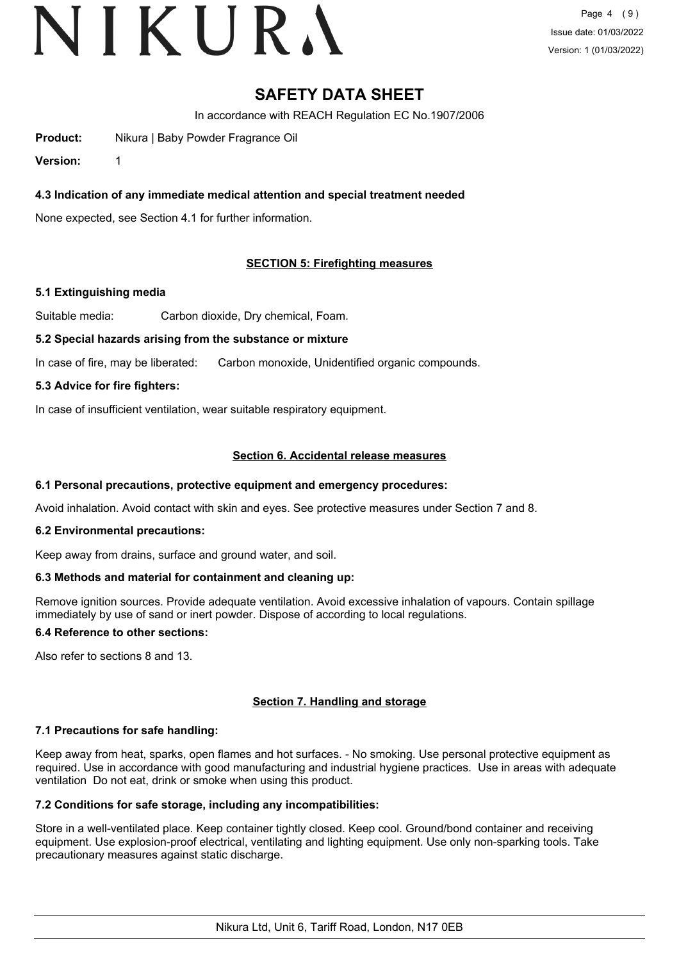# VIKURA

# **SAFETY DATA SHEET**

In accordance with REACH Regulation EC No.1907/2006

**Product:** Nikura | Baby Powder Fragrance Oil

**Version:** 1

# **4.3 Indication of any immediate medical attention and special treatment needed**

None expected, see Section 4.1 for further information.

# **SECTION 5: Firefighting measures**

## **5.1 Extinguishing media**

Suitable media: Carbon dioxide, Dry chemical, Foam.

## **5.2 Special hazards arising from the substance or mixture**

In case of fire, may be liberated: Carbon monoxide, Unidentified organic compounds.

#### **5.3 Advice for fire fighters:**

In case of insufficient ventilation, wear suitable respiratory equipment.

## **Section 6. Accidental release measures**

#### **6.1 Personal precautions, protective equipment and emergency procedures:**

Avoid inhalation. Avoid contact with skin and eyes. See protective measures under Section 7 and 8.

#### **6.2 Environmental precautions:**

Keep away from drains, surface and ground water, and soil.

## **6.3 Methods and material for containment and cleaning up:**

Remove ignition sources. Provide adequate ventilation. Avoid excessive inhalation of vapours. Contain spillage immediately by use of sand or inert powder. Dispose of according to local regulations.

# **6.4 Reference to other sections:**

Also refer to sections 8 and 13.

## **Section 7. Handling and storage**

## **7.1 Precautions for safe handling:**

Keep away from heat, sparks, open flames and hot surfaces. - No smoking. Use personal protective equipment as required. Use in accordance with good manufacturing and industrial hygiene practices. Use in areas with adequate ventilation Do not eat, drink or smoke when using this product.

# **7.2 Conditions for safe storage, including any incompatibilities:**

Store in a well-ventilated place. Keep container tightly closed. Keep cool. Ground/bond container and receiving equipment. Use explosion-proof electrical, ventilating and lighting equipment. Use only non-sparking tools. Take precautionary measures against static discharge.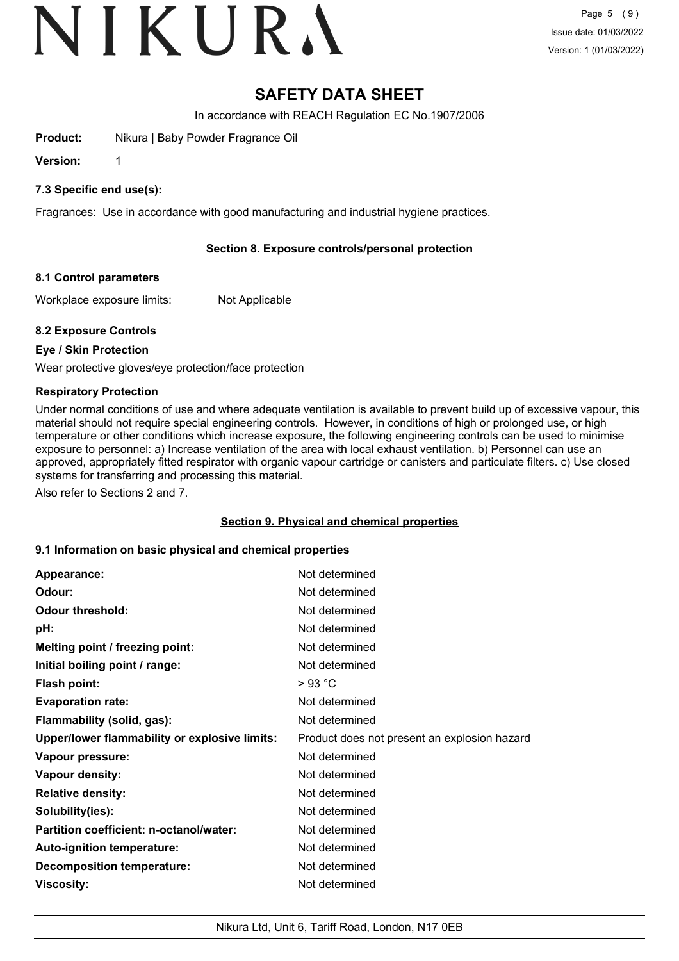# VIKURA

# **SAFETY DATA SHEET**

In accordance with REACH Regulation EC No.1907/2006

**Product:** Nikura | Baby Powder Fragrance Oil

**Version:** 1

# **7.3 Specific end use(s):**

Fragrances: Use in accordance with good manufacturing and industrial hygiene practices.

# **Section 8. Exposure controls/personal protection**

## **8.1 Control parameters**

Workplace exposure limits: Not Applicable

# **8.2 Exposure Controls**

# **Eye / Skin Protection**

Wear protective gloves/eye protection/face protection

# **Respiratory Protection**

Under normal conditions of use and where adequate ventilation is available to prevent build up of excessive vapour, this material should not require special engineering controls. However, in conditions of high or prolonged use, or high temperature or other conditions which increase exposure, the following engineering controls can be used to minimise exposure to personnel: a) Increase ventilation of the area with local exhaust ventilation. b) Personnel can use an approved, appropriately fitted respirator with organic vapour cartridge or canisters and particulate filters. c) Use closed systems for transferring and processing this material.

Also refer to Sections 2 and 7.

## **Section 9. Physical and chemical properties**

## **9.1 Information on basic physical and chemical properties**

| Appearance:                                          | Not determined                               |
|------------------------------------------------------|----------------------------------------------|
| Odour:                                               | Not determined                               |
| <b>Odour threshold:</b>                              | Not determined                               |
| pH:                                                  | Not determined                               |
| Melting point / freezing point:                      | Not determined                               |
| Initial boiling point / range:                       | Not determined                               |
| <b>Flash point:</b>                                  | $>93$ °C                                     |
| <b>Evaporation rate:</b>                             | Not determined                               |
| Flammability (solid, gas):                           | Not determined                               |
| <b>Upper/lower flammability or explosive limits:</b> | Product does not present an explosion hazard |
| Vapour pressure:                                     | Not determined                               |
| Vapour density:                                      | Not determined                               |
| <b>Relative density:</b>                             | Not determined                               |
| Solubility(ies):                                     | Not determined                               |
| Partition coefficient: n-octanol/water:              | Not determined                               |
| Auto-ignition temperature:                           | Not determined                               |
| <b>Decomposition temperature:</b>                    | Not determined                               |
| Viscosity:                                           | Not determined                               |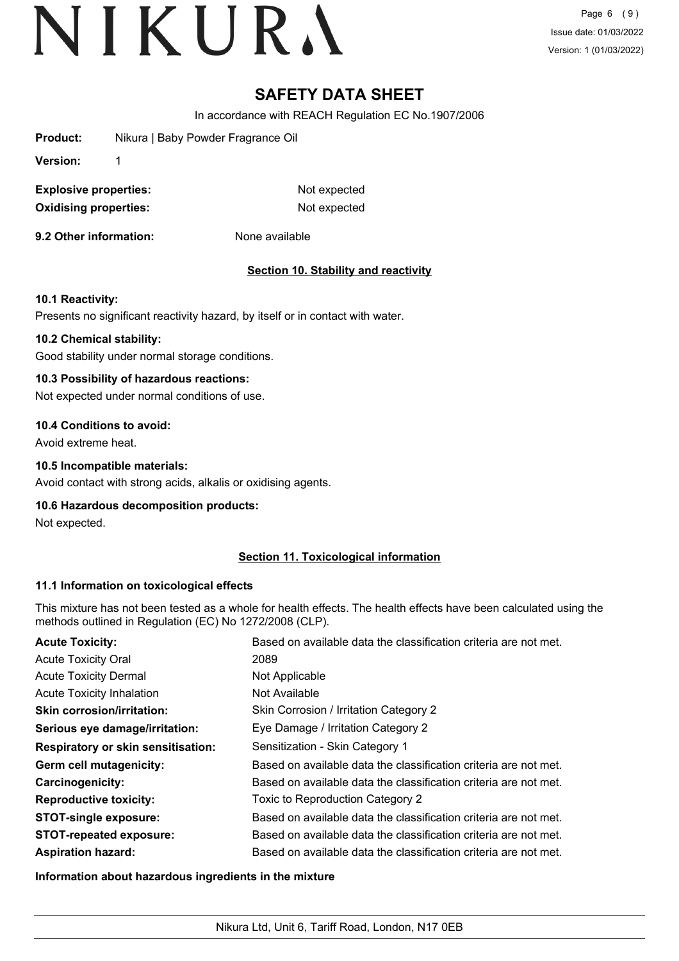Page 6 (9) Issue date: 01/03/2022 Version: 1 (01/03/2022)

# **SAFETY DATA SHEET**

In accordance with REACH Regulation EC No.1907/2006

**Product:** Nikura | Baby Powder Fragrance Oil

**Version:** 1

**Explosive properties:** Not expected **Oxidising properties:** Not expected

**9.2 Other information:** None available

# **Section 10. Stability and reactivity**

## **10.1 Reactivity:**

Presents no significant reactivity hazard, by itself or in contact with water.

#### **10.2 Chemical stability:**

Good stability under normal storage conditions.

#### **10.3 Possibility of hazardous reactions:**

Not expected under normal conditions of use.

#### **10.4 Conditions to avoid:**

Avoid extreme heat.

#### **10.5 Incompatible materials:**

Avoid contact with strong acids, alkalis or oxidising agents.

## **10.6 Hazardous decomposition products:**

Not expected.

## **Section 11. Toxicological information**

## **11.1 Information on toxicological effects**

This mixture has not been tested as a whole for health effects. The health effects have been calculated using the methods outlined in Regulation (EC) No 1272/2008 (CLP).

| <b>Acute Toxicity:</b>                    | Based on available data the classification criteria are not met. |
|-------------------------------------------|------------------------------------------------------------------|
| <b>Acute Toxicity Oral</b>                | 2089                                                             |
| <b>Acute Toxicity Dermal</b>              | Not Applicable                                                   |
| <b>Acute Toxicity Inhalation</b>          | Not Available                                                    |
| <b>Skin corrosion/irritation:</b>         | Skin Corrosion / Irritation Category 2                           |
| Serious eye damage/irritation:            | Eye Damage / Irritation Category 2                               |
| <b>Respiratory or skin sensitisation:</b> | Sensitization - Skin Category 1                                  |
| Germ cell mutagenicity:                   | Based on available data the classification criteria are not met. |
| <b>Carcinogenicity:</b>                   | Based on available data the classification criteria are not met. |
| <b>Reproductive toxicity:</b>             | Toxic to Reproduction Category 2                                 |
| <b>STOT-single exposure:</b>              | Based on available data the classification criteria are not met. |
| <b>STOT-repeated exposure:</b>            | Based on available data the classification criteria are not met. |
| <b>Aspiration hazard:</b>                 | Based on available data the classification criteria are not met. |

## **Information about hazardous ingredients in the mixture**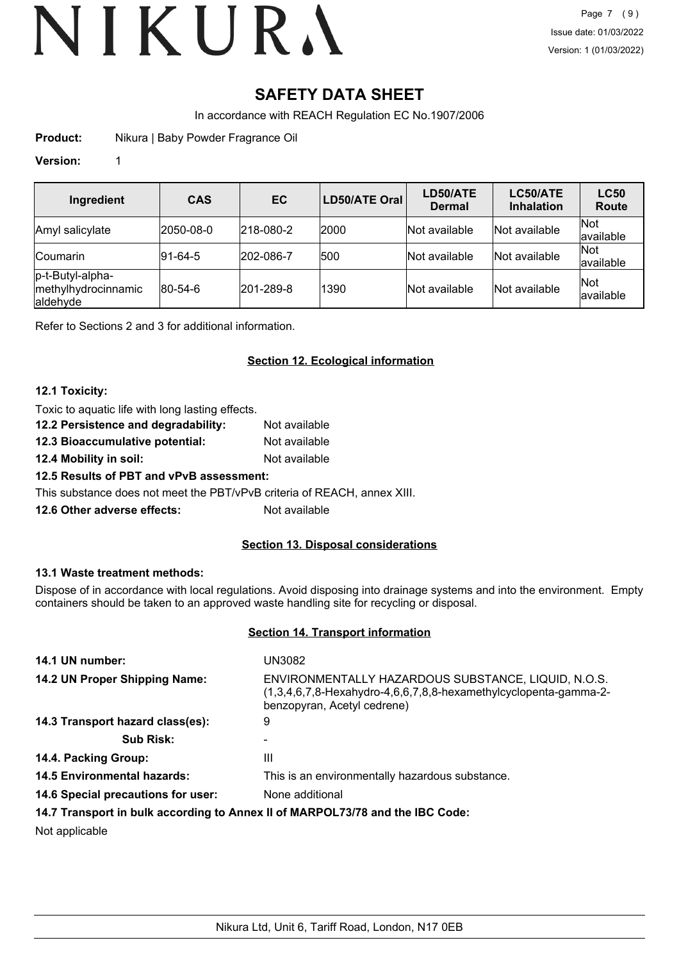# **SAFETY DATA SHEET**

In accordance with REACH Regulation EC No.1907/2006

**Product:** Nikura | Baby Powder Fragrance Oil

# **Version:** 1

| Ingredient                                          | <b>CAS</b>      | <b>EC</b>         | <b>LD50/ATE Oral</b> | LD50/ATE<br><b>Dermal</b> | LC50/ATE<br><b>Inhalation</b> | <b>LC50</b><br><b>Route</b> |
|-----------------------------------------------------|-----------------|-------------------|----------------------|---------------------------|-------------------------------|-----------------------------|
| Amyl salicylate                                     | 2050-08-0       | $ 218 - 080 - 2 $ | 2000                 | Not available             | Not available                 | <b>Not</b><br>available     |
| <b>Coumarin</b>                                     | $ 91-64-5 $     | 202-086-7         | 500                  | Not available             | Not available                 | <b>Not</b><br>available     |
| p-t-Butyl-alpha-<br>methylhydrocinnamic<br>aldehyde | $ 80 - 54 - 6 $ | 201-289-8         | 1390                 | Not available             | Not available                 | Not<br>available            |

Refer to Sections 2 and 3 for additional information.

# **Section 12. Ecological information**

## **12.1 Toxicity:**

| Toxic to aquatic life with long lasting effects. |               |
|--------------------------------------------------|---------------|
| 12.2 Persistence and degradability:              | Not available |
| 12.3 Bioaccumulative potential:                  | Not available |
| 12.4 Mobility in soil:                           | Not available |

**12.5 Results of PBT and vPvB assessment:**

This substance does not meet the PBT/vPvB criteria of REACH, annex XIII.

**12.6 Other adverse effects:** Not available

# **Section 13. Disposal considerations**

## **13.1 Waste treatment methods:**

Dispose of in accordance with local regulations. Avoid disposing into drainage systems and into the environment. Empty containers should be taken to an approved waste handling site for recycling or disposal.

## **Section 14. Transport information**

| 14.1 UN number:                    | UN3082                                                                                                                                                    |
|------------------------------------|-----------------------------------------------------------------------------------------------------------------------------------------------------------|
| 14.2 UN Proper Shipping Name:      | ENVIRONMENTALLY HAZARDOUS SUBSTANCE, LIQUID, N.O.S.<br>$(1,3,4,6,7,8$ -Hexahydro-4,6,6,7,8,8-hexamethylcyclopenta-gamma-2-<br>benzopyran, Acetyl cedrene) |
| 14.3 Transport hazard class(es):   | 9                                                                                                                                                         |
| <b>Sub Risk:</b>                   |                                                                                                                                                           |
| 14.4. Packing Group:               | Ш                                                                                                                                                         |
| <b>14.5 Environmental hazards:</b> | This is an environmentally hazardous substance.                                                                                                           |
| 14.6 Special precautions for user: | None additional                                                                                                                                           |
|                                    | 14.7 Transport in bulk according to Annex II of MARPOL73/78 and the IBC Code:                                                                             |

Not applicable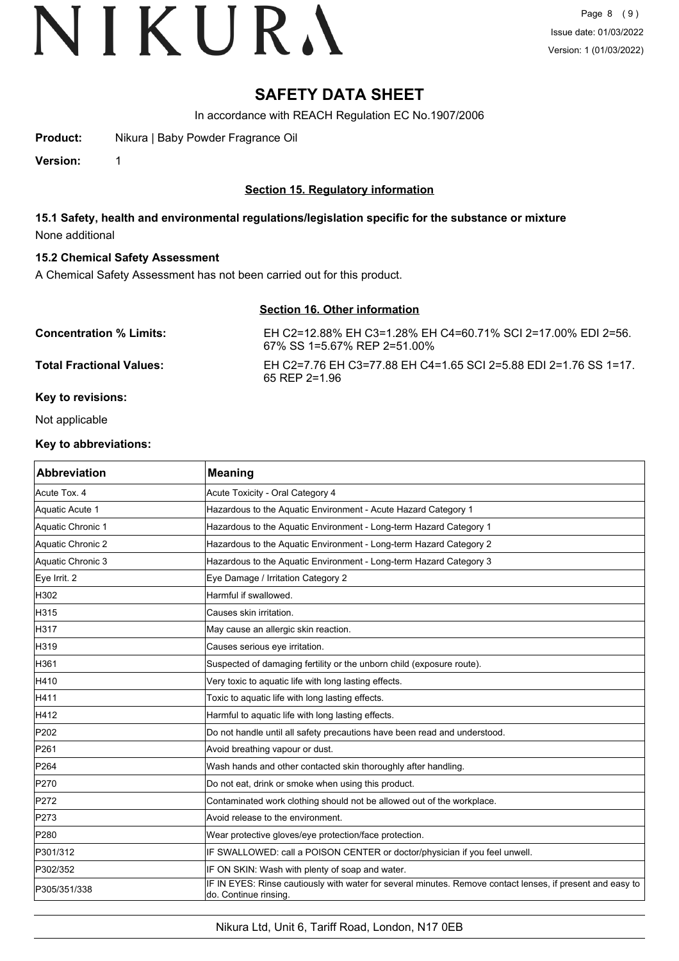# **SAFETY DATA SHEET**

In accordance with REACH Regulation EC No.1907/2006

**Product:** Nikura | Baby Powder Fragrance Oil

**Version:** 1

# **Section 15. Regulatory information**

**15.1 Safety, health and environmental regulations/legislation specific for the substance or mixture** None additional

## **15.2 Chemical Safety Assessment**

A Chemical Safety Assessment has not been carried out for this product.

# **Section 16. Other information**

| <b>Concentration % Limits:</b>  | EH C2=12.88% EH C3=1.28% EH C4=60.71% SCI 2=17.00% EDI 2=56.<br>67% SS 1=5.67% REP 2=51.00% |
|---------------------------------|---------------------------------------------------------------------------------------------|
| <b>Total Fractional Values:</b> | EH C2=7.76 EH C3=77.88 EH C4=1.65 SCI 2=5.88 EDI 2=1.76 SS 1=17.<br>$65$ REP 2=1.96         |
| Key to revisions:               |                                                                                             |

Not applicable

#### **Key to abbreviations:**

| <b>Abbreviation</b> | <b>Meaning</b>                                                                                                                      |
|---------------------|-------------------------------------------------------------------------------------------------------------------------------------|
| Acute Tox. 4        | Acute Toxicity - Oral Category 4                                                                                                    |
| Aquatic Acute 1     | Hazardous to the Aquatic Environment - Acute Hazard Category 1                                                                      |
| Aquatic Chronic 1   | Hazardous to the Aquatic Environment - Long-term Hazard Category 1                                                                  |
| Aquatic Chronic 2   | Hazardous to the Aquatic Environment - Long-term Hazard Category 2                                                                  |
| Aquatic Chronic 3   | Hazardous to the Aquatic Environment - Long-term Hazard Category 3                                                                  |
| Eye Irrit. 2        | Eye Damage / Irritation Category 2                                                                                                  |
| H302                | Harmful if swallowed.                                                                                                               |
| H315                | Causes skin irritation.                                                                                                             |
| H317                | May cause an allergic skin reaction.                                                                                                |
| H319                | Causes serious eye irritation.                                                                                                      |
| H361                | Suspected of damaging fertility or the unborn child (exposure route).                                                               |
| H410                | Very toxic to aquatic life with long lasting effects.                                                                               |
| H411                | Toxic to aquatic life with long lasting effects.                                                                                    |
| H412                | Harmful to aquatic life with long lasting effects.                                                                                  |
| P202                | Do not handle until all safety precautions have been read and understood.                                                           |
| P261                | Avoid breathing vapour or dust.                                                                                                     |
| P264                | Wash hands and other contacted skin thoroughly after handling.                                                                      |
| P270                | Do not eat, drink or smoke when using this product.                                                                                 |
| P272                | Contaminated work clothing should not be allowed out of the workplace.                                                              |
| P273                | Avoid release to the environment.                                                                                                   |
| P280                | Wear protective gloves/eye protection/face protection.                                                                              |
| P301/312            | IF SWALLOWED: call a POISON CENTER or doctor/physician if you feel unwell.                                                          |
| P302/352            | IF ON SKIN: Wash with plenty of soap and water.                                                                                     |
| P305/351/338        | IF IN EYES: Rinse cautiously with water for several minutes. Remove contact lenses, if present and easy to<br>do. Continue rinsing. |